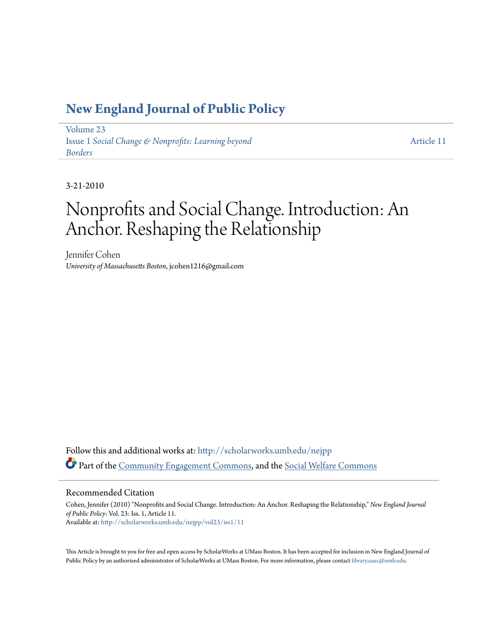#### **[New England Journal of Public Policy](http://scholarworks.umb.edu/nejpp?utm_source=scholarworks.umb.edu%2Fnejpp%2Fvol23%2Fiss1%2F11&utm_medium=PDF&utm_campaign=PDFCoverPages)**

[Volume 23](http://scholarworks.umb.edu/nejpp/vol23?utm_source=scholarworks.umb.edu%2Fnejpp%2Fvol23%2Fiss1%2F11&utm_medium=PDF&utm_campaign=PDFCoverPages) Issue 1 *[Social Change & Nonprofits: Learning beyond](http://scholarworks.umb.edu/nejpp/vol23/iss1?utm_source=scholarworks.umb.edu%2Fnejpp%2Fvol23%2Fiss1%2F11&utm_medium=PDF&utm_campaign=PDFCoverPages) [Borders](http://scholarworks.umb.edu/nejpp/vol23/iss1?utm_source=scholarworks.umb.edu%2Fnejpp%2Fvol23%2Fiss1%2F11&utm_medium=PDF&utm_campaign=PDFCoverPages)*

[Article 11](http://scholarworks.umb.edu/nejpp/vol23/iss1/11?utm_source=scholarworks.umb.edu%2Fnejpp%2Fvol23%2Fiss1%2F11&utm_medium=PDF&utm_campaign=PDFCoverPages)

3-21-2010

# Nonprofits and Social Change. Introduction: An Anchor. Reshaping the Relationship

Jennifer Cohen *University of Massachusetts Boston*, jcohen1216@gmail.com

Follow this and additional works at: [http://scholarworks.umb.edu/nejpp](http://scholarworks.umb.edu/nejpp?utm_source=scholarworks.umb.edu%2Fnejpp%2Fvol23%2Fiss1%2F11&utm_medium=PDF&utm_campaign=PDFCoverPages) Part of the [Community Engagement Commons](http://network.bepress.com/hgg/discipline/1028?utm_source=scholarworks.umb.edu%2Fnejpp%2Fvol23%2Fiss1%2F11&utm_medium=PDF&utm_campaign=PDFCoverPages), and the [Social Welfare Commons](http://network.bepress.com/hgg/discipline/401?utm_source=scholarworks.umb.edu%2Fnejpp%2Fvol23%2Fiss1%2F11&utm_medium=PDF&utm_campaign=PDFCoverPages)

#### Recommended Citation

Cohen, Jennifer (2010) "Nonprofits and Social Change. Introduction: An Anchor. Reshaping the Relationship," *New England Journal of Public Policy*: Vol. 23: Iss. 1, Article 11. Available at: [http://scholarworks.umb.edu/nejpp/vol23/iss1/11](http://scholarworks.umb.edu/nejpp/vol23/iss1/11?utm_source=scholarworks.umb.edu%2Fnejpp%2Fvol23%2Fiss1%2F11&utm_medium=PDF&utm_campaign=PDFCoverPages)

This Article is brought to you for free and open access by ScholarWorks at UMass Boston. It has been accepted for inclusion in New England Journal of Public Policy by an authorized administrator of ScholarWorks at UMass Boston. For more information, please contact [library.uasc@umb.edu](mailto:library.uasc@umb.edu).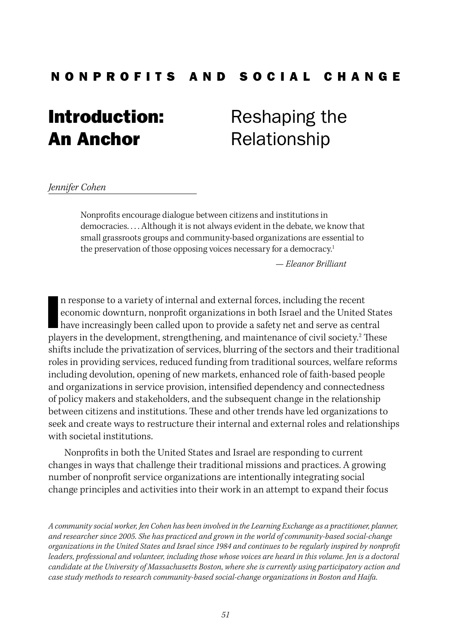#### NONPROFITS AND SOCIAL CHANGE

### Introduction: An Anchor

## Reshaping the Relationship

#### *Jennifer Cohen*

Nonprofits encourage dialogue between citizens and institutions in democracies. . . . Although it is not always evident in the debate, we know that small grassroots groups and community-based organizations are essential to the preservation of those opposing voices necessary for a democracy.<sup>1</sup>

 *— Eleanor Brilliant* 

I<sub>nla</sub> n response to a variety of internal and external forces, including the recent economic downturn, nonprofit organizations in both Israel and the United States have increasingly been called upon to provide a safety net and serve as central players in the development, strengthening, and maintenance of civil society.<sup>2</sup> These shifts include the privatization of services, blurring of the sectors and their traditional roles in providing services, reduced funding from traditional sources, welfare reforms including devolution, opening of new markets, enhanced role of faith-based people and organizations in service provision, intensified dependency and connectedness of policy makers and stakeholders, and the subsequent change in the relationship between citizens and institutions. These and other trends have led organizations to seek and create ways to restructure their internal and external roles and relationships with societal institutions.

Nonprofits in both the United States and Israel are responding to current changes in ways that challenge their traditional missions and practices. A growing number of nonprofit service organizations are intentionally integrating social change principles and activities into their work in an attempt to expand their focus

*A community social worker, Jen Cohen has been involved in the Learning Exchange as a practitioner, planner, and researcher since 2005. She has practiced and grown in the world of community-based social-change organizations in the United States and Israel since 1984 and continues to be regularly inspired by nonprofit*  leaders, professional and volunteer, including those whose voices are heard in this volume. Jen is a doctoral *candidate at the University of Massachusetts Boston, where she is currently using participatory action and case study methods to research community-based social-change organizations in Boston and Haifa.*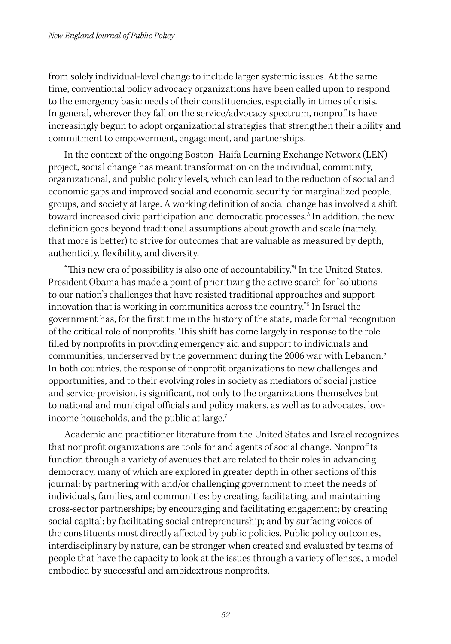from solely individual-level change to include larger systemic issues. At the same time, conventional policy advocacy organizations have been called upon to respond to the emergency basic needs of their constituencies, especially in times of crisis. In general, wherever they fall on the service/advocacy spectrum, nonprofits have increasingly begun to adopt organizational strategies that strengthen their ability and commitment to empowerment, engagement, and partnerships.

In the context of the ongoing Boston–Haifa Learning Exchange Network (LEN) project, social change has meant transformation on the individual, community, organizational, and public policy levels, which can lead to the reduction of social and economic gaps and improved social and economic security for marginalized people, groups, and society at large. A working definition of social change has involved a shift toward increased civic participation and democratic processes.<sup>3</sup> In addition, the new definition goes beyond traditional assumptions about growth and scale (namely, that more is better) to strive for outcomes that are valuable as measured by depth, authenticity, flexibility, and diversity.

"This new era of possibility is also one of accountability."4 In the United States, President Obama has made a point of prioritizing the active search for "solutions to our nation's challenges that have resisted traditional approaches and support innovation that is working in communities across the country."5 In Israel the government has, for the first time in the history of the state, made formal recognition of the critical role of nonprofits. This shift has come largely in response to the role filled by nonprofits in providing emergency aid and support to individuals and communities, underserved by the government during the 2006 war with Lebanon.<sup>6</sup> In both countries, the response of nonprofit organizations to new challenges and opportunities, and to their evolving roles in society as mediators of social justice and service provision, is significant, not only to the organizations themselves but to national and municipal officials and policy makers, as well as to advocates, lowincome households, and the public at large.<sup>7</sup>

Academic and practitioner literature from the United States and Israel recognizes that nonprofit organizations are tools for and agents of social change. Nonprofits function through a variety of avenues that are related to their roles in advancing democracy, many of which are explored in greater depth in other sections of this journal: by partnering with and/or challenging government to meet the needs of individuals, families, and communities; by creating, facilitating, and maintaining cross-sector partnerships; by encouraging and facilitating engagement; by creating social capital; by facilitating social entrepreneurship; and by surfacing voices of the constituents most directly affected by public policies. Public policy outcomes, interdisciplinary by nature, can be stronger when created and evaluated by teams of people that have the capacity to look at the issues through a variety of lenses, a model embodied by successful and ambidextrous nonprofits.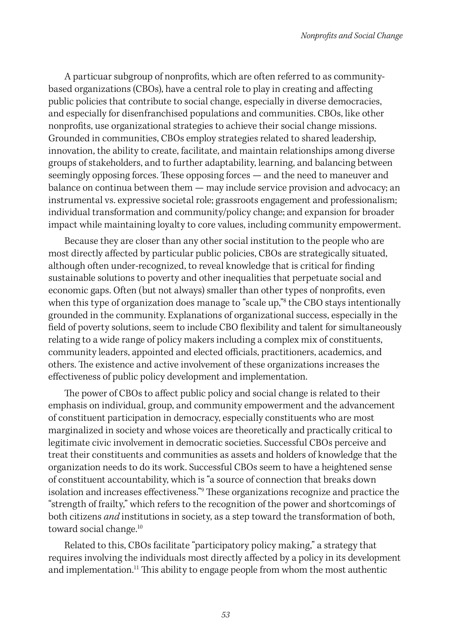A particuar subgroup of nonprofits, which are often referred to as communitybased organizations (CBOs), have a central role to play in creating and affecting public policies that contribute to social change, especially in diverse democracies, and especially for disenfranchised populations and communities. CBOs, like other nonprofits, use organizational strategies to achieve their social change missions. Grounded in communities, CBOs employ strategies related to shared leadership, innovation, the ability to create, facilitate, and maintain relationships among diverse groups of stakeholders, and to further adaptability, learning, and balancing between seemingly opposing forces. These opposing forces — and the need to maneuver and balance on continua between them — may include service provision and advocacy; an instrumental vs. expressive societal role; grassroots engagement and professionalism; individual transformation and community/policy change; and expansion for broader impact while maintaining loyalty to core values, including community empowerment.

Because they are closer than any other social institution to the people who are most directly affected by particular public policies, CBOs are strategically situated, although often under-recognized, to reveal knowledge that is critical for finding sustainable solutions to poverty and other inequalities that perpetuate social and economic gaps. Often (but not always) smaller than other types of nonprofits, even when this type of organization does manage to "scale up,"8 the CBO stays intentionally grounded in the community. Explanations of organizational success, especially in the field of poverty solutions, seem to include CBO flexibility and talent for simultaneously relating to a wide range of policy makers including a complex mix of constituents, community leaders, appointed and elected officials, practitioners, academics, and others. The existence and active involvement of these organizations increases the effectiveness of public policy development and implementation.

The power of CBOs to affect public policy and social change is related to their emphasis on individual, group, and community empowerment and the advancement of constituent participation in democracy, especially constituents who are most marginalized in society and whose voices are theoretically and practically critical to legitimate civic involvement in democratic societies. Successful CBOs perceive and treat their constituents and communities as assets and holders of knowledge that the organization needs to do its work. Successful CBOs seem to have a heightened sense of constituent accountability, which is "a source of connection that breaks down isolation and increases effectiveness."9 These organizations recognize and practice the "strength of frailty," which refers to the recognition of the power and shortcomings of both citizens *and* institutions in society, as a step toward the transformation of both, toward social change.<sup>10</sup>

Related to this, CBOs facilitate "participatory policy making," a strategy that requires involving the individuals most directly affected by a policy in its development and implementation.<sup>11</sup> This ability to engage people from whom the most authentic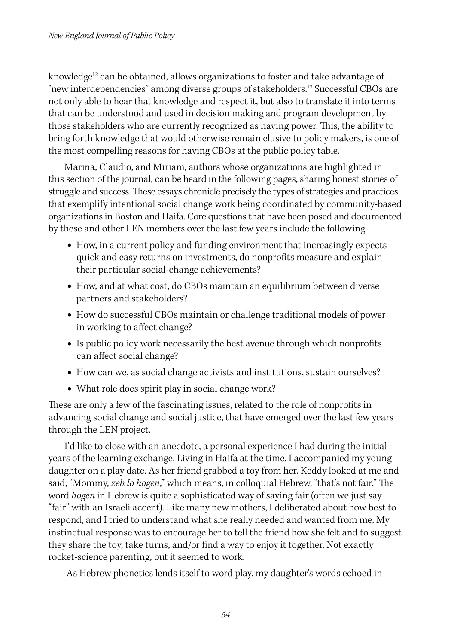knowledge<sup>12</sup> can be obtained, allows organizations to foster and take advantage of "new interdependencies" among diverse groups of stakeholders.13 Successful CBOs are not only able to hear that knowledge and respect it, but also to translate it into terms that can be understood and used in decision making and program development by those stakeholders who are currently recognized as having power. This, the ability to bring forth knowledge that would otherwise remain elusive to policy makers, is one of the most compelling reasons for having CBOs at the public policy table.

Marina, Claudio, and Miriam, authors whose organizations are highlighted in this section of the journal, can be heard in the following pages, sharing honest stories of struggle and success. These essays chronicle precisely the types of strategies and practices that exemplify intentional social change work being coordinated by community-based organizations in Boston and Haifa. Core questions that have been posed and documented by these and other LEN members over the last few years include the following:

- **•** How, in a current policy and funding environment that increasingly expects quick and easy returns on investments, do nonprofits measure and explain their particular social-change achievements?
- **•** How, and at what cost, do CBOs maintain an equilibrium between diverse partners and stakeholders?
- **•** How do successful CBOs maintain or challenge traditional models of power in working to affect change?
- **•** Is public policy work necessarily the best avenue through which nonprofits can affect social change?
- **•** How can we, as social change activists and institutions, sustain ourselves?
- What role does spirit play in social change work?

These are only a few of the fascinating issues, related to the role of nonprofits in advancing social change and social justice, that have emerged over the last few years through the LEN project.

I'd like to close with an anecdote, a personal experience I had during the initial years of the learning exchange. Living in Haifa at the time, I accompanied my young daughter on a play date. As her friend grabbed a toy from her, Keddy looked at me and said, "Mommy, *zeh lo hogen*," which means, in colloquial Hebrew, "that's not fair." The word *hogen* in Hebrew is quite a sophisticated way of saying fair (often we just say "fair" with an Israeli accent). Like many new mothers, I deliberated about how best to respond, and I tried to understand what she really needed and wanted from me. My instinctual response was to encourage her to tell the friend how she felt and to suggest they share the toy, take turns, and/or find a way to enjoy it together. Not exactly rocket-science parenting, but it seemed to work.

As Hebrew phonetics lends itself to word play, my daughter's words echoed in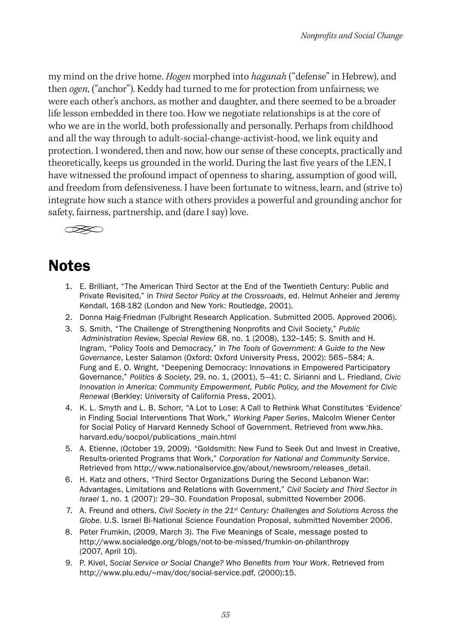my mind on the drive home. *Hogen* morphed into *haganah* ("defense" in Hebrew), and then *ogen*, ("anchor"). Keddy had turned to me for protection from unfairness; we were each other's anchors, as mother and daughter, and there seemed to be a broader life lesson embedded in there too. How we negotiate relationships is at the core of who we are in the world, both professionally and personally. Perhaps from childhood and all the way through to adult-social-change-activist-hood, we link equity and protection. I wondered, then and now, how our sense of these concepts, practically and theoretically, keeps us grounded in the world. During the last five years of the LEN, I have witnessed the profound impact of openness to sharing, assumption of good will, and freedom from defensiveness. I have been fortunate to witness, learn, and (strive to) integrate how such a stance with others provides a powerful and grounding anchor for safety, fairness, partnership, and (dare I say) love.

 $\infty$ 

### Notes

- 1. E. Brilliant, "The American Third Sector at the End of the Twentieth Century: Public and Private Revisited," in *Third Sector Policy at the Crossroads*, ed. Helmut Anheier and Jeremy Kendall, 168-182 (London and New York: Routledge, 2001).
- 2. Donna Haig-Friedman (Fulbright Research Application. Submitted 2005. Approved 2006).
- 3. S. Smith, "The Challenge of Strengthening Nonprofits and Civil Society," *Public Administration Review, Special Review* 68, no. 1 (2008), 132–145; S. Smith and H. Ingram, "Policy Tools and Democracy," in *The Tools of Government: A Guide to the New Governance*, Lester Salamon (Oxford: Oxford University Press, 2002): 565–584; A. Fung and E. O. Wright, "Deepening Democracy: Innovations in Empowered Participatory Governance," *Politics & Society*, 29, no. 1, (2001), 5–41; C. Sirianni and L. Friedland, *Civic Innovation in America: Community Empowerment, Public Policy, and the Movement for Civic Renewal* (Berkley: University of California Press, 2001).
- 4. K. L. Smyth and L. B. Schorr, "A Lot to Lose: A Call to Rethink What Constitutes 'Evidence' in Finding Social Interventions That Work," *Working Paper Series*, Malcolm Wiener Center for Social Policy of Harvard Kennedy School of Government. Retrieved from www.hks. harvard.edu/socpol/publications\_main.html
- 5. A. Etienne, (October 19, 2009). "Goldsmith: New Fund to Seek Out and Invest in Creative, Results-oriented Programs that Work," *Corporation for National and Community Service*. Retrieved from http://www.nationalservice.gov/about/newsroom/releases\_detail.
- 6. H. Katz and others, "Third Sector Organizations During the Second Lebanon War: Advantages, Limitations and Relations with Government," *Civil Society and Third Sector in Israel* 1, no. 1 (2007): 29–30. Foundation Proposal, submitted November 2006.
- 7. A. Freund and others, *Civil Society in the 21st Century: Challenges and Solutions Across the Globe*. U.S. Israel Bi-National Science Foundation Proposal, submitted November 2006.
- 8. Peter Frumkin, (2009, March 3). The Five Meanings of Scale, message posted to http://www.socialedge.org/blogs/not-to-be-missed/frumkin-on-philanthropy (2007, April 10).
- 9. P. Kivel, *Social Service or Social Change? Who Benefits from Your Work*. Retrieved from http://www.plu.edu/~mav/doc/social-service.pdf, (2000):15.